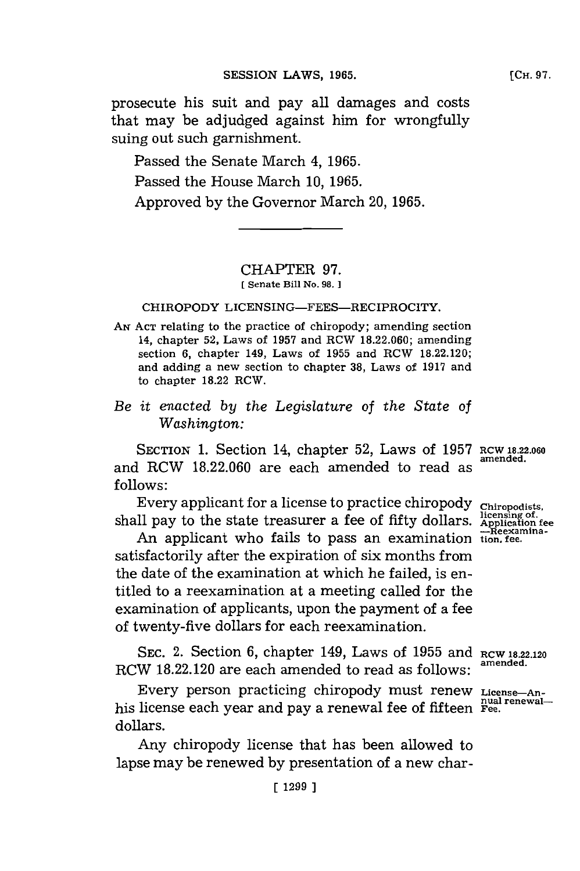prosecute his suit and pay all damages and costs that may be adjudged against him for wrongfully suing out such garnishment.

Passed the Senate March 4, **1965.** Passed the House March **10, 1965.** Approved **by** the Governor March **20, 1965.**

## CHAPTER **97. [ Senate Bill No. 98.]**

CHIROPODY LICENSING-FEES-RECIPROCITY.

**AN ACT** relating to the practice of chiropody; amending section 14, chapter **52,** Laws of **1957** and RCW **18.22.060;** amending section **6,** chapter 149, Laws of **1955** and RCW **18.22.120;** and adding a new section to chapter **38,** Laws of **1917** and to chapter **18.22** RCW.

## *Be it enacted by the Legislature of the State of Washington:*

SECTION **1.** Section 14, chapter **52,** Laws of **1957 RCW 18.22.060** and RCW **18.22.060** are each amended to read as **follows:**

Every applicant for a license to practice chiropody chiropodists,<br>ll pay to the state treasurer a fee of fifty dollars. Application fee<br>An applicant urbe fails to page an augmination  $\frac{1}{n}$ Reexaminashall pay to the state treasurer a fee of fifty dollars.

**-Reexamina-** An applicant who fails to pass an examination **tion, fee.** satisfactorily after the expiration of six months from the date of the examination at which he failed, is entitled to a reexamination at a meeting called for the examination of applicants, upon the payment of a fee of twenty-five dollars for each reexamination.

**SEC.** 2. Section **6,** chapter 149, Laws of **1955** and **RCW 18.22.120** RCW **18.22.120** are each amended to read as follows: **amended.**

Every person practicing chiropody must renew License-Anhis license each year and pay a renewal fee of fifteen **Fee.** dollars.

Any chiropody license that has been allowed to lapse may be renewed **by** presentation of a new char-